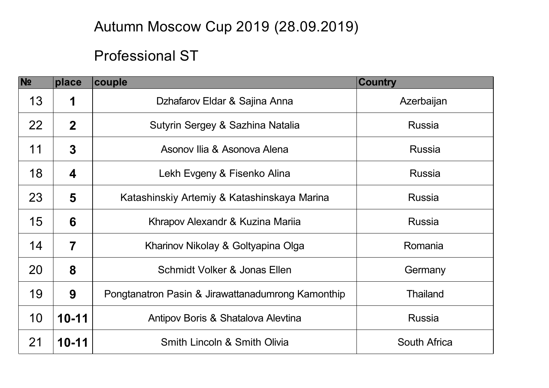## Autumn Moscow Cup 2019 (28.09.2019)

## Professional ST

| N <sub>2</sub> | place                   | <b>couple</b>                                     | <b>Country</b>      |
|----------------|-------------------------|---------------------------------------------------|---------------------|
| 13             | 1                       | Dzhafarov Eldar & Sajina Anna                     | Azerbaijan          |
| 22             | $\mathbf{2}$            | Sutyrin Sergey & Sazhina Natalia                  | <b>Russia</b>       |
| 11             | $\overline{3}$          | Asonov Ilia & Asonova Alena                       | <b>Russia</b>       |
| 18             | 4                       | Lekh Evgeny & Fisenko Alina                       | <b>Russia</b>       |
| 23             | 5                       | Katashinskiy Artemiy & Katashinskaya Marina       | <b>Russia</b>       |
| 15             | 6                       | Khrapov Alexandr & Kuzina Marija                  | <b>Russia</b>       |
| 14             | $\overline{\mathbf{7}}$ | Kharinov Nikolay & Goltyapina Olga                | Romania             |
| 20             | 8                       | Schmidt Volker & Jonas Ellen                      | Germany             |
| 19             | 9                       | Pongtanatron Pasin & Jirawattanadumrong Kamonthip | <b>Thailand</b>     |
| 10             | $10 - 11$               | Antipov Boris & Shatalova Alevtina                | <b>Russia</b>       |
| 21             | $10 - 11$               | Smith Lincoln & Smith Olivia                      | <b>South Africa</b> |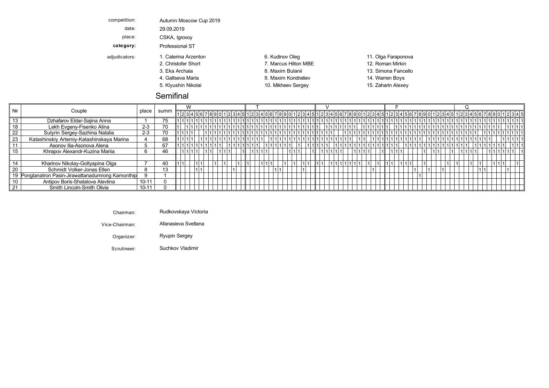| competition:  | Autumn Moscow Cup 2019 |                      |                     |
|---------------|------------------------|----------------------|---------------------|
| date:         | 29.09.2019             |                      |                     |
| place:        | CSKA, Igrovoy          |                      |                     |
| category:     | Professional ST        |                      |                     |
| adjudicators: | 1. Caterina Arzenton   | 6. Kudinov Oleg      | 11. Olga Faraponova |
|               | 2. Christofer Short    | 7. Marcus Hilton MBE | 12. Roman Mirkin    |
|               | 3. Eka Archaia         | 8. Maxim Bulanii     | 13. Simona Fancello |
|               | 4. Galtseva Maria      | 9. Maxim Kondratiev  | 14. Warren Boys     |
|               | 5. Klyushin Nikolai    | 10. Mikheev Sergey   | 15. Zaharin Alexey  |
|               | ________               |                      |                     |

## Semifinal

|    |                                                    |           |      | ١٨                                                                                                                   |  |  |  |  |  |  |  |  |  |  |  |  |  |  |  |  |  |
|----|----------------------------------------------------|-----------|------|----------------------------------------------------------------------------------------------------------------------|--|--|--|--|--|--|--|--|--|--|--|--|--|--|--|--|--|
|    | Couple                                             | place     | summ | <u>1234567890123456789012345612345678901234561234561234567890123456128345678901234567890123456128901234561234561</u> |  |  |  |  |  |  |  |  |  |  |  |  |  |  |  |  |  |
|    | Dzhafarov Eldar-Sajina Anna                        |           |      |                                                                                                                      |  |  |  |  |  |  |  |  |  |  |  |  |  |  |  |  |  |
|    | Lekh Evgeny-Fisenko Alina                          | $2 - 3$   | 70   |                                                                                                                      |  |  |  |  |  |  |  |  |  |  |  |  |  |  |  |  |  |
|    | Sutyrin Sergey-Sazhina Natalia                     | $2 - 3$   | 70   |                                                                                                                      |  |  |  |  |  |  |  |  |  |  |  |  |  |  |  |  |  |
| 23 | Katashinskiy Artemiy-Katashinskaya Marina          |           |      |                                                                                                                      |  |  |  |  |  |  |  |  |  |  |  |  |  |  |  |  |  |
|    | Asonov Ilia-Asonova Alena                          |           | 67   |                                                                                                                      |  |  |  |  |  |  |  |  |  |  |  |  |  |  |  |  |  |
|    | Khrapov Alexandr-Kuzina Mariia                     |           |      |                                                                                                                      |  |  |  |  |  |  |  |  |  |  |  |  |  |  |  |  |  |
|    |                                                    |           |      |                                                                                                                      |  |  |  |  |  |  |  |  |  |  |  |  |  |  |  |  |  |
|    | Kharinov Nikolay-Goltyapina Olga                   |           | 40   |                                                                                                                      |  |  |  |  |  |  |  |  |  |  |  |  |  |  |  |  |  |
|    | Schmidt Volker-Jonas Ellen                         |           |      |                                                                                                                      |  |  |  |  |  |  |  |  |  |  |  |  |  |  |  |  |  |
|    | 19 Pongtanatron Pasin-Jirawattanadumrong Kamonthip |           |      |                                                                                                                      |  |  |  |  |  |  |  |  |  |  |  |  |  |  |  |  |  |
|    | Antipov Boris-Shatalova Alevtina                   | $10 - 11$ |      |                                                                                                                      |  |  |  |  |  |  |  |  |  |  |  |  |  |  |  |  |  |
|    | Smith Lincoln-Smith Olivia                         | $10 - 11$ |      |                                                                                                                      |  |  |  |  |  |  |  |  |  |  |  |  |  |  |  |  |  |

- Chairman: Rudkovskaya Victoria
- Vice-Chairman: Afanasieva Svetlana Eka Mxim Simona Viennese VArchaia Bulanii Fcello Waltz

Organizer: Ryupin Sergey Alexey Zaaring Q Nikolai Alexey Zaaring Q Nikolai Alexey Sergey Sergey Sergey Sergey S

Scrutineer: Suchkov Vladimir Samba Suchkov Vladimir Samba Sucha Sucha Sucha Sucha Sucha Suchkov Vladimir Such